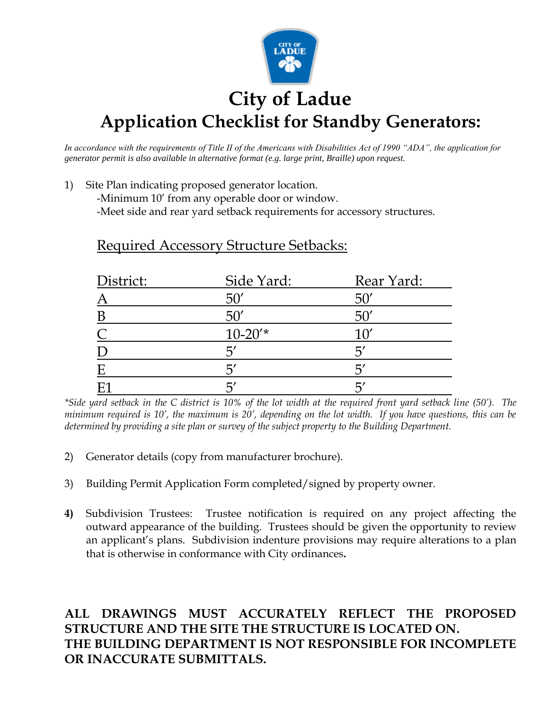

# **City of Ladue Application Checklist for Standby Generators:**

*In accordance with the requirements of Title II of the Americans with Disabilities Act of 1990 "ADA", the application for generator permit is also available in alternative format (e.g. large print, Braille) upon request.*

1) Site Plan indicating proposed generator location.

-Minimum 10' from any operable door or window.

-Meet side and rear yard setback requirements for accessory structures.

| District:     | Side Yard:   | Rear Yard:      |
|---------------|--------------|-----------------|
|               | $50^{\circ}$ | 50              |
| B             | 50'          |                 |
| $\mathcal{C}$ | $10 - 20'$ * | 10'             |
|               | 5'           | $\overline{2}'$ |
| E             | 5'           |                 |
|               |              |                 |

Required Accessory Structure Setbacks:

*\*Side yard setback in the C district is 10% of the lot width at the required front yard setback line (50'). The minimum required is 10', the maximum is 20', depending on the lot width. If you have questions, this can be determined by providing a site plan or survey of the subject property to the Building Department.*

- 2) Generator details (copy from manufacturer brochure).
- 3) Building Permit Application Form completed/signed by property owner.
- **4)** Subdivision Trustees: Trustee notification is required on any project affecting the outward appearance of the building. Trustees should be given the opportunity to review an applicant's plans. Subdivision indenture provisions may require alterations to a plan that is otherwise in conformance with City ordinances**.**

## **ALL DRAWINGS MUST ACCURATELY REFLECT THE PROPOSED STRUCTURE AND THE SITE THE STRUCTURE IS LOCATED ON. THE BUILDING DEPARTMENT IS NOT RESPONSIBLE FOR INCOMPLETE OR INACCURATE SUBMITTALS.**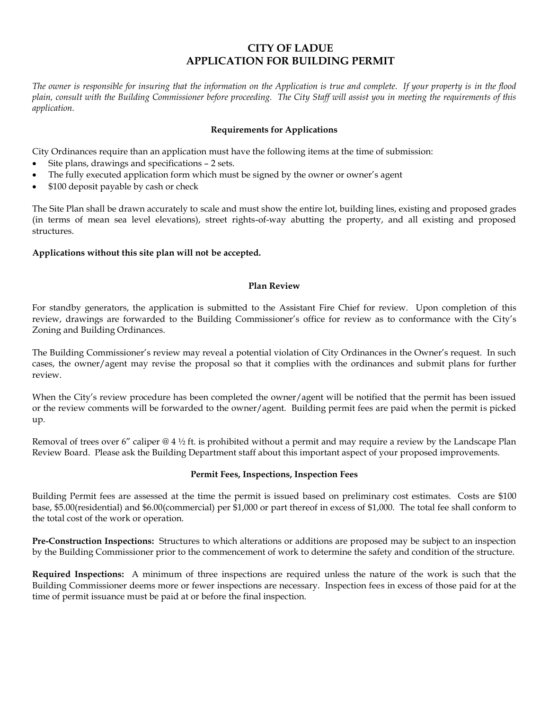## **CITY OF LADUE APPLICATION FOR BUILDING PERMIT**

*The owner is responsible for insuring that the information on the Application is true and complete. If your property is in the flood plain, consult with the Building Commissioner before proceeding. The City Staff will assist you in meeting the requirements of this application.*

#### **Requirements for Applications**

City Ordinances require than an application must have the following items at the time of submission:

- Site plans, drawings and specifications 2 sets.
- The fully executed application form which must be signed by the owner or owner's agent
- \$100 deposit payable by cash or check

The Site Plan shall be drawn accurately to scale and must show the entire lot, building lines, existing and proposed grades (in terms of mean sea level elevations), street rights-of-way abutting the property, and all existing and proposed structures.

### **Applications without this site plan will not be accepted.**

#### **Plan Review**

For standby generators, the application is submitted to the Assistant Fire Chief for review. Upon completion of this review, drawings are forwarded to the Building Commissioner's office for review as to conformance with the City's Zoning and Building Ordinances.

The Building Commissioner's review may reveal a potential violation of City Ordinances in the Owner's request. In such cases, the owner/agent may revise the proposal so that it complies with the ordinances and submit plans for further review.

When the City's review procedure has been completed the owner/agent will be notified that the permit has been issued or the review comments will be forwarded to the owner/agent. Building permit fees are paid when the permit is picked up.

Removal of trees over 6" caliper  $@$  4 ½ ft. is prohibited without a permit and may require a review by the Landscape Plan Review Board. Please ask the Building Department staff about this important aspect of your proposed improvements.

#### **Permit Fees, Inspections, Inspection Fees**

Building Permit fees are assessed at the time the permit is issued based on preliminary cost estimates. Costs are \$100 base, \$5.00(residential) and \$6.00(commercial) per \$1,000 or part thereof in excess of \$1,000. The total fee shall conform to the total cost of the work or operation.

**Pre-Construction Inspections:** Structures to which alterations or additions are proposed may be subject to an inspection by the Building Commissioner prior to the commencement of work to determine the safety and condition of the structure.

**Required Inspections:** A minimum of three inspections are required unless the nature of the work is such that the Building Commissioner deems more or fewer inspections are necessary. Inspection fees in excess of those paid for at the time of permit issuance must be paid at or before the final inspection.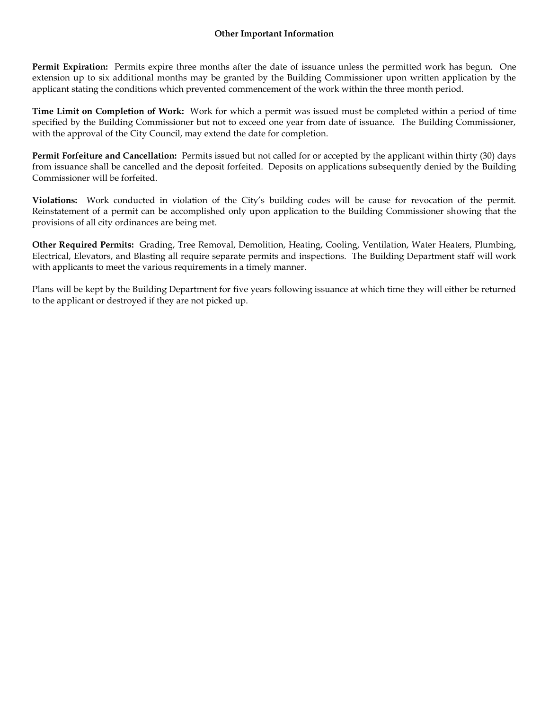#### **Other Important Information**

**Permit Expiration:** Permits expire three months after the date of issuance unless the permitted work has begun. One extension up to six additional months may be granted by the Building Commissioner upon written application by the applicant stating the conditions which prevented commencement of the work within the three month period.

**Time Limit on Completion of Work:** Work for which a permit was issued must be completed within a period of time specified by the Building Commissioner but not to exceed one year from date of issuance. The Building Commissioner, with the approval of the City Council, may extend the date for completion.

**Permit Forfeiture and Cancellation:** Permits issued but not called for or accepted by the applicant within thirty (30) days from issuance shall be cancelled and the deposit forfeited. Deposits on applications subsequently denied by the Building Commissioner will be forfeited.

**Violations:** Work conducted in violation of the City's building codes will be cause for revocation of the permit. Reinstatement of a permit can be accomplished only upon application to the Building Commissioner showing that the provisions of all city ordinances are being met.

**Other Required Permits:** Grading, Tree Removal, Demolition, Heating, Cooling, Ventilation, Water Heaters, Plumbing, Electrical, Elevators, and Blasting all require separate permits and inspections. The Building Department staff will work with applicants to meet the various requirements in a timely manner.

Plans will be kept by the Building Department for five years following issuance at which time they will either be returned to the applicant or destroyed if they are not picked up.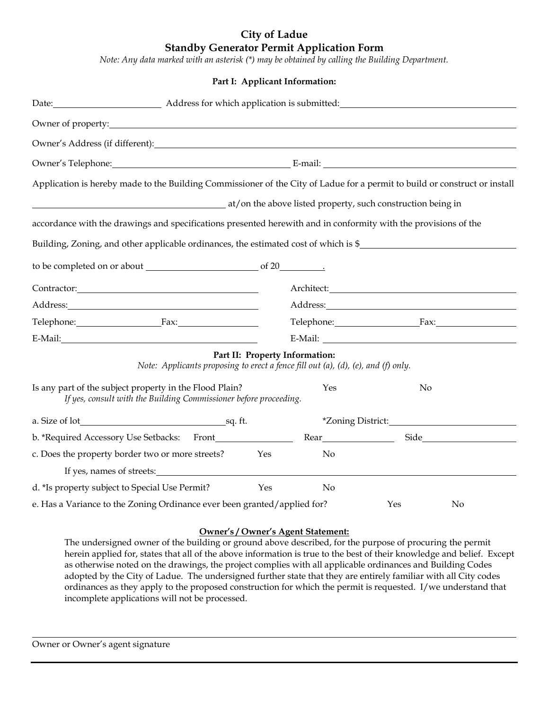## **City of Ladue Standby Generator Permit Application Form**

*Note: Any data marked with an asterisk (\*) may be obtained by calling the Building Department.*

|                                                                                                                                                                                                                               |                                                                                                                    | Part I: Applicant Information: |                                                                                                                            |  |  |
|-------------------------------------------------------------------------------------------------------------------------------------------------------------------------------------------------------------------------------|--------------------------------------------------------------------------------------------------------------------|--------------------------------|----------------------------------------------------------------------------------------------------------------------------|--|--|
|                                                                                                                                                                                                                               | Date: Address for which application is submitted: National Contract of Address for which application is submitted: |                                |                                                                                                                            |  |  |
|                                                                                                                                                                                                                               |                                                                                                                    |                                |                                                                                                                            |  |  |
| Owner's Address (if different): Note that the set of the set of the set of the set of the set of the set of the set of the set of the set of the set of the set of the set of the set of the set of the set of the set of the |                                                                                                                    |                                |                                                                                                                            |  |  |
|                                                                                                                                                                                                                               | Owner's Telephone: Communication E-mail: Communication E-mail:                                                     |                                |                                                                                                                            |  |  |
|                                                                                                                                                                                                                               |                                                                                                                    |                                | Application is hereby made to the Building Commissioner of the City of Ladue for a permit to build or construct or install |  |  |
| at/on the above listed property, such construction being in                                                                                                                                                                   |                                                                                                                    |                                |                                                                                                                            |  |  |
| accordance with the drawings and specifications presented herewith and in conformity with the provisions of the                                                                                                               |                                                                                                                    |                                |                                                                                                                            |  |  |
|                                                                                                                                                                                                                               |                                                                                                                    |                                | Building, Zoning, and other applicable ordinances, the estimated cost of which is \$                                       |  |  |
|                                                                                                                                                                                                                               |                                                                                                                    |                                |                                                                                                                            |  |  |
|                                                                                                                                                                                                                               |                                                                                                                    |                                |                                                                                                                            |  |  |
| Contractor: 2000 Contractor:                                                                                                                                                                                                  |                                                                                                                    |                                |                                                                                                                            |  |  |
|                                                                                                                                                                                                                               |                                                                                                                    |                                |                                                                                                                            |  |  |
| Telephone: Fax:                                                                                                                                                                                                               |                                                                                                                    |                                | Telephone: Fax:                                                                                                            |  |  |
| E-Mail: E-Mail:                                                                                                                                                                                                               |                                                                                                                    |                                |                                                                                                                            |  |  |
| Note: Applicants proposing to erect a fence fill out (a), (d), (e), and (f) only.                                                                                                                                             |                                                                                                                    | Part II: Property Information: |                                                                                                                            |  |  |
| Is any part of the subject property in the Flood Plain?<br>If yes, consult with the Building Commissioner before proceeding.                                                                                                  |                                                                                                                    | Yes                            | No                                                                                                                         |  |  |
|                                                                                                                                                                                                                               |                                                                                                                    | *Zoning District:              |                                                                                                                            |  |  |
|                                                                                                                                                                                                                               |                                                                                                                    |                                |                                                                                                                            |  |  |
| c. Does the property border two or more streets?                                                                                                                                                                              | Yes                                                                                                                | No                             |                                                                                                                            |  |  |
| If yes, names of streets:                                                                                                                                                                                                     |                                                                                                                    |                                |                                                                                                                            |  |  |
| d. *Is property subject to Special Use Permit?                                                                                                                                                                                | Yes                                                                                                                | No                             |                                                                                                                            |  |  |
| e. Has a Variance to the Zoning Ordinance ever been granted/applied for?                                                                                                                                                      |                                                                                                                    |                                | Yes<br>No                                                                                                                  |  |  |

#### **Owner's / Owner's Agent Statement:**

The undersigned owner of the building or ground above described, for the purpose of procuring the permit herein applied for, states that all of the above information is true to the best of their knowledge and belief. Except as otherwise noted on the drawings, the project complies with all applicable ordinances and Building Codes adopted by the City of Ladue. The undersigned further state that they are entirely familiar with all City codes ordinances as they apply to the proposed construction for which the permit is requested. I/we understand that incomplete applications will not be processed.